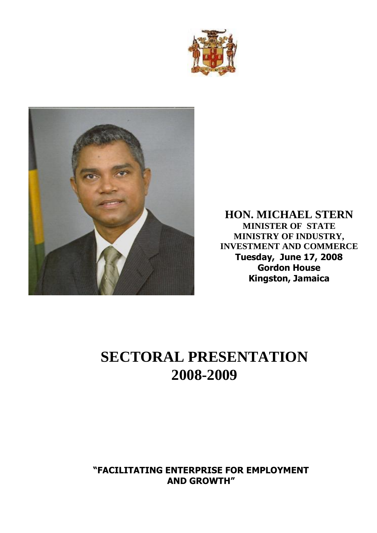



**HON. MICHAEL STERN MINISTER OF STATE MINISTRY OF INDUSTRY, INVESTMENT AND COMMERCE Tuesday, June 17, 2008 Gordon House Kingston, Jamaica**

# **SECTORAL PRESENTATION 2008-2009**

**"FACILITATING ENTERPRISE FOR EMPLOYMENT AND GROWTH"**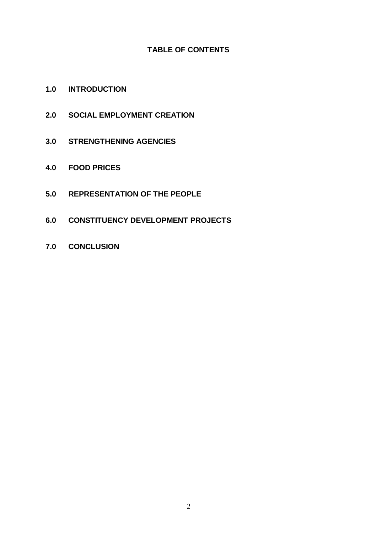## **TABLE OF CONTENTS**

- **1.0 INTRODUCTION**
- **2.0 SOCIAL EMPLOYMENT CREATION**
- **3.0 STRENGTHENING AGENCIES**
- **4.0 FOOD PRICES**
- **5.0 REPRESENTATION OF THE PEOPLE**
- **6.0 CONSTITUENCY DEVELOPMENT PROJECTS**
- **7.0 CONCLUSION**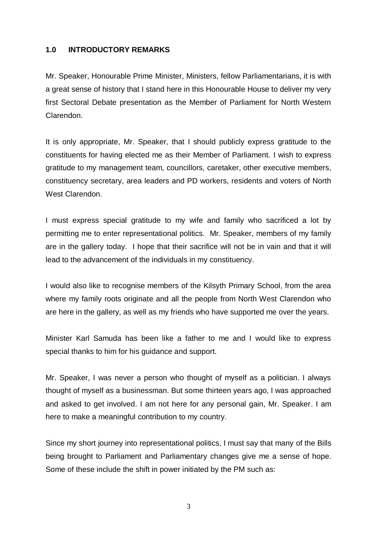#### **1.0 INTRODUCTORY REMARKS**

Mr. Speaker, Honourable Prime Minister, Ministers, fellow Parliamentarians, it is with a great sense of history that I stand here in this Honourable House to deliver my very first Sectoral Debate presentation as the Member of Parliament for North Western Clarendon.

It is only appropriate, Mr. Speaker, that I should publicly express gratitude to the constituents for having elected me as their Member of Parliament. I wish to express gratitude to my management team, councillors, caretaker, other executive members, constituency secretary, area leaders and PD workers, residents and voters of North West Clarendon.

I must express special gratitude to my wife and family who sacrificed a lot by permitting me to enter representational politics. Mr. Speaker, members of my family are in the gallery today. I hope that their sacrifice will not be in vain and that it will lead to the advancement of the individuals in my constituency.

I would also like to recognise members of the Kilsyth Primary School, from the area where my family roots originate and all the people from North West Clarendon who are here in the gallery, as well as my friends who have supported me over the years.

Minister Karl Samuda has been like a father to me and I would like to express special thanks to him for his guidance and support.

Mr. Speaker, I was never a person who thought of myself as a politician. I always thought of myself as a businessman. But some thirteen years ago, I was approached and asked to get involved. I am not here for any personal gain, Mr. Speaker. I am here to make a meaningful contribution to my country.

Since my short journey into representational politics, I must say that many of the Bills being brought to Parliament and Parliamentary changes give me a sense of hope. Some of these include the shift in power initiated by the PM such as: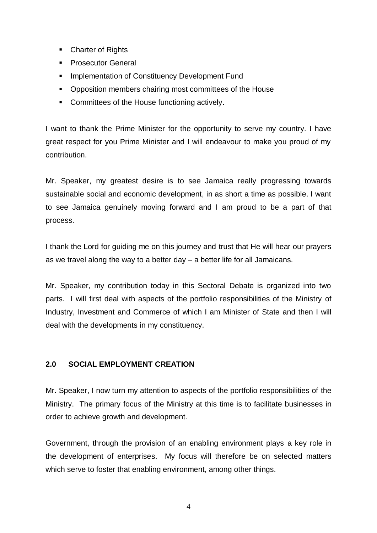- Charter of Rights
- **Prosecutor General**
- **Implementation of Constituency Development Fund**
- Opposition members chairing most committees of the House
- **Committees of the House functioning actively.**

I want to thank the Prime Minister for the opportunity to serve my country. I have great respect for you Prime Minister and I will endeavour to make you proud of my contribution.

Mr. Speaker, my greatest desire is to see Jamaica really progressing towards sustainable social and economic development, in as short a time as possible. I want to see Jamaica genuinely moving forward and I am proud to be a part of that process.

I thank the Lord for guiding me on this journey and trust that He will hear our prayers as we travel along the way to a better day – a better life for all Jamaicans.

Mr. Speaker, my contribution today in this Sectoral Debate is organized into two parts. I will first deal with aspects of the portfolio responsibilities of the Ministry of Industry, Investment and Commerce of which I am Minister of State and then I will deal with the developments in my constituency.

#### **2.0 SOCIAL EMPLOYMENT CREATION**

Mr. Speaker, I now turn my attention to aspects of the portfolio responsibilities of the Ministry. The primary focus of the Ministry at this time is to facilitate businesses in order to achieve growth and development.

Government, through the provision of an enabling environment plays a key role in the development of enterprises. My focus will therefore be on selected matters which serve to foster that enabling environment, among other things.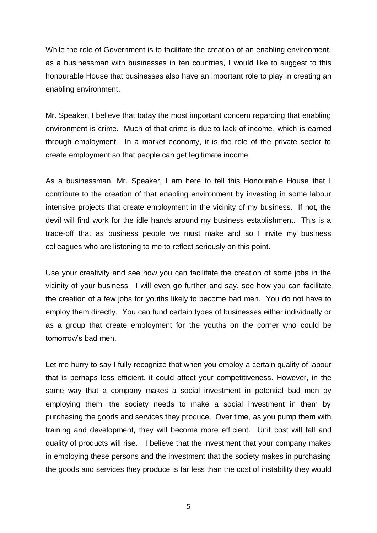While the role of Government is to facilitate the creation of an enabling environment, as a businessman with businesses in ten countries, I would like to suggest to this honourable House that businesses also have an important role to play in creating an enabling environment.

Mr. Speaker, I believe that today the most important concern regarding that enabling environment is crime. Much of that crime is due to lack of income, which is earned through employment. In a market economy, it is the role of the private sector to create employment so that people can get legitimate income.

As a businessman, Mr. Speaker, I am here to tell this Honourable House that I contribute to the creation of that enabling environment by investing in some labour intensive projects that create employment in the vicinity of my business. If not, the devil will find work for the idle hands around my business establishment. This is a trade-off that as business people we must make and so I invite my business colleagues who are listening to me to reflect seriously on this point.

Use your creativity and see how you can facilitate the creation of some jobs in the vicinity of your business. I will even go further and say, see how you can facilitate the creation of a few jobs for youths likely to become bad men. You do not have to employ them directly. You can fund certain types of businesses either individually or as a group that create employment for the youths on the corner who could be tomorrow's bad men.

Let me hurry to say I fully recognize that when you employ a certain quality of labour that is perhaps less efficient, it could affect your competitiveness. However, in the same way that a company makes a social investment in potential bad men by employing them, the society needs to make a social investment in them by purchasing the goods and services they produce. Over time, as you pump them with training and development, they will become more efficient. Unit cost will fall and quality of products will rise. I believe that the investment that your company makes in employing these persons and the investment that the society makes in purchasing the goods and services they produce is far less than the cost of instability they would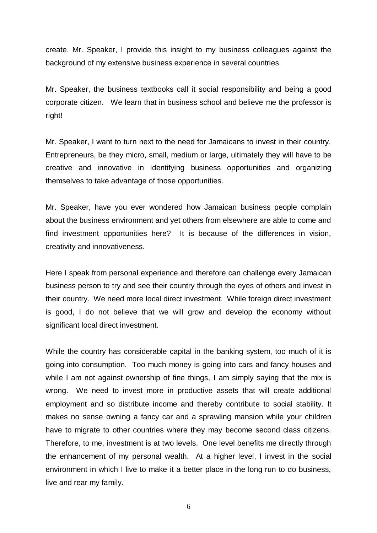create. Mr. Speaker, I provide this insight to my business colleagues against the background of my extensive business experience in several countries.

Mr. Speaker, the business textbooks call it social responsibility and being a good corporate citizen. We learn that in business school and believe me the professor is right!

Mr. Speaker, I want to turn next to the need for Jamaicans to invest in their country. Entrepreneurs, be they micro, small, medium or large, ultimately they will have to be creative and innovative in identifying business opportunities and organizing themselves to take advantage of those opportunities.

Mr. Speaker, have you ever wondered how Jamaican business people complain about the business environment and yet others from elsewhere are able to come and find investment opportunities here? It is because of the differences in vision, creativity and innovativeness.

Here I speak from personal experience and therefore can challenge every Jamaican business person to try and see their country through the eyes of others and invest in their country. We need more local direct investment. While foreign direct investment is good, I do not believe that we will grow and develop the economy without significant local direct investment.

While the country has considerable capital in the banking system, too much of it is going into consumption. Too much money is going into cars and fancy houses and while I am not against ownership of fine things, I am simply saying that the mix is wrong. We need to invest more in productive assets that will create additional employment and so distribute income and thereby contribute to social stability. It makes no sense owning a fancy car and a sprawling mansion while your children have to migrate to other countries where they may become second class citizens. Therefore, to me, investment is at two levels. One level benefits me directly through the enhancement of my personal wealth. At a higher level, I invest in the social environment in which I live to make it a better place in the long run to do business, live and rear my family.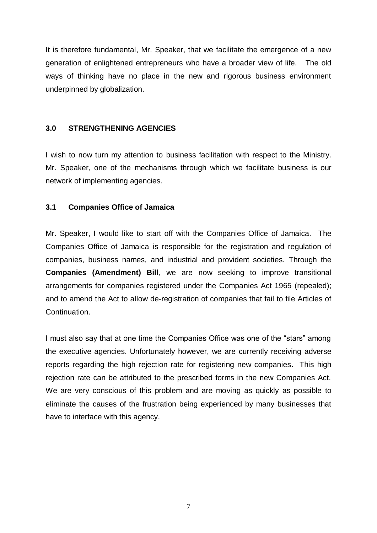It is therefore fundamental, Mr. Speaker, that we facilitate the emergence of a new generation of enlightened entrepreneurs who have a broader view of life. The old ways of thinking have no place in the new and rigorous business environment underpinned by globalization.

#### **3.0 STRENGTHENING AGENCIES**

I wish to now turn my attention to business facilitation with respect to the Ministry. Mr. Speaker, one of the mechanisms through which we facilitate business is our network of implementing agencies.

#### **3.1 Companies Office of Jamaica**

Mr. Speaker, I would like to start off with the Companies Office of Jamaica. The Companies Office of Jamaica is responsible for the registration and regulation of companies, business names, and industrial and provident societies. Through the **Companies (Amendment) Bill**, we are now seeking to improve transitional arrangements for companies registered under the Companies Act 1965 (repealed); and to amend the Act to allow de-registration of companies that fail to file Articles of Continuation.

I must also say that at one time the Companies Office was one of the "stars" among the executive agencies. Unfortunately however, we are currently receiving adverse reports regarding the high rejection rate for registering new companies. This high rejection rate can be attributed to the prescribed forms in the new Companies Act. We are very conscious of this problem and are moving as quickly as possible to eliminate the causes of the frustration being experienced by many businesses that have to interface with this agency.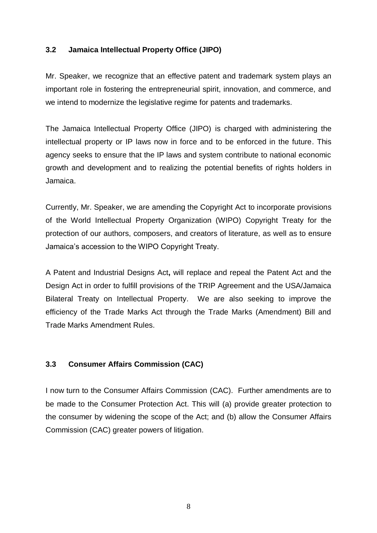## **3.2 Jamaica Intellectual Property Office (JIPO)**

Mr. Speaker, we recognize that an effective patent and trademark system plays an important role in fostering the entrepreneurial spirit, innovation, and commerce, and we intend to modernize the legislative regime for patents and trademarks.

The Jamaica Intellectual Property Office (JIPO) is charged with administering the intellectual property or IP laws now in force and to be enforced in the future. This agency seeks to ensure that the IP laws and system contribute to national economic growth and development and to realizing the potential benefits of rights holders in Jamaica.

Currently, Mr. Speaker, we are amending the Copyright Act to incorporate provisions of the World Intellectual Property Organization (WIPO) Copyright Treaty for the protection of our authors, composers, and creators of literature, as well as to ensure Jamaica's accession to the WIPO Copyright Treaty.

A Patent and Industrial Designs Act**,** will replace and repeal the Patent Act and the Design Act in order to fulfill provisions of the TRIP Agreement and the USA/Jamaica Bilateral Treaty on Intellectual Property. We are also seeking to improve the efficiency of the Trade Marks Act through the Trade Marks (Amendment) Bill and Trade Marks Amendment Rules.

# **3.3 Consumer Affairs Commission (CAC)**

I now turn to the Consumer Affairs Commission (CAC). Further amendments are to be made to the Consumer Protection Act. This will (a) provide greater protection to the consumer by widening the scope of the Act; and (b) allow the Consumer Affairs Commission (CAC) greater powers of litigation.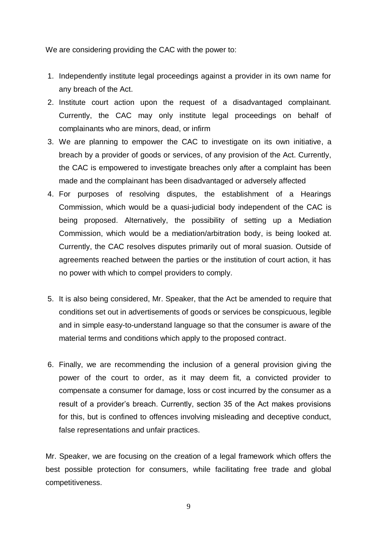We are considering providing the CAC with the power to:

- 1. Independently institute legal proceedings against a provider in its own name for any breach of the Act.
- 2. Institute court action upon the request of a disadvantaged complainant. Currently, the CAC may only institute legal proceedings on behalf of complainants who are minors, dead, or infirm
- 3. We are planning to empower the CAC to investigate on its own initiative, a breach by a provider of goods or services, of any provision of the Act. Currently, the CAC is empowered to investigate breaches only after a complaint has been made and the complainant has been disadvantaged or adversely affected
- 4. For purposes of resolving disputes, the establishment of a Hearings Commission, which would be a quasi-judicial body independent of the CAC is being proposed. Alternatively, the possibility of setting up a Mediation Commission, which would be a mediation/arbitration body, is being looked at. Currently, the CAC resolves disputes primarily out of moral suasion. Outside of agreements reached between the parties or the institution of court action, it has no power with which to compel providers to comply.
- 5. It is also being considered, Mr. Speaker, that the Act be amended to require that conditions set out in advertisements of goods or services be conspicuous, legible and in simple easy-to-understand language so that the consumer is aware of the material terms and conditions which apply to the proposed contract.
- 6. Finally, we are recommending the inclusion of a general provision giving the power of the court to order, as it may deem fit, a convicted provider to compensate a consumer for damage, loss or cost incurred by the consumer as a result of a provider's breach. Currently, section 35 of the Act makes provisions for this, but is confined to offences involving misleading and deceptive conduct, false representations and unfair practices.

Mr. Speaker, we are focusing on the creation of a legal framework which offers the best possible protection for consumers, while facilitating free trade and global competitiveness.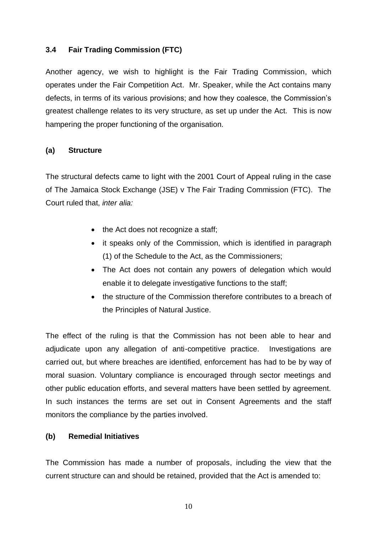# **3.4 Fair Trading Commission (FTC)**

Another agency, we wish to highlight is the Fair Trading Commission, which operates under the Fair Competition Act. Mr. Speaker, while the Act contains many defects, in terms of its various provisions; and how they coalesce, the Commission's greatest challenge relates to its very structure, as set up under the Act. This is now hampering the proper functioning of the organisation.

# **(a) Structure**

The structural defects came to light with the 2001 Court of Appeal ruling in the case of The Jamaica Stock Exchange (JSE) v The Fair Trading Commission (FTC). The Court ruled that, *inter alia:*

- the Act does not recognize a staff;
- it speaks only of the Commission, which is identified in paragraph (1) of the Schedule to the Act, as the Commissioners;
- The Act does not contain any powers of delegation which would enable it to delegate investigative functions to the staff;
- the structure of the Commission therefore contributes to a breach of the Principles of Natural Justice.

The effect of the ruling is that the Commission has not been able to hear and adjudicate upon any allegation of anti-competitive practice. Investigations are carried out, but where breaches are identified, enforcement has had to be by way of moral suasion. Voluntary compliance is encouraged through sector meetings and other public education efforts, and several matters have been settled by agreement. In such instances the terms are set out in Consent Agreements and the staff monitors the compliance by the parties involved.

# **(b) Remedial Initiatives**

The Commission has made a number of proposals, including the view that the current structure can and should be retained, provided that the Act is amended to: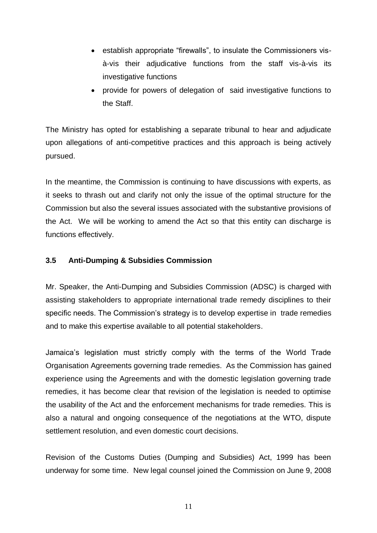- establish appropriate "firewalls", to insulate the Commissioners visà-vis their adjudicative functions from the staff vis-à-vis its investigative functions
- provide for powers of delegation of said investigative functions to the Staff.

The Ministry has opted for establishing a separate tribunal to hear and adjudicate upon allegations of anti-competitive practices and this approach is being actively pursued.

In the meantime, the Commission is continuing to have discussions with experts, as it seeks to thrash out and clarify not only the issue of the optimal structure for the Commission but also the several issues associated with the substantive provisions of the Act. We will be working to amend the Act so that this entity can discharge is functions effectively.

# **3.5 Anti-Dumping & Subsidies Commission**

Mr. Speaker, the Anti-Dumping and Subsidies Commission (ADSC) is charged with assisting stakeholders to appropriate international trade remedy disciplines to their specific needs. The Commission's strategy is to develop expertise in trade remedies and to make this expertise available to all potential stakeholders.

Jamaica's legislation must strictly comply with the terms of the World Trade Organisation Agreements governing trade remedies. As the Commission has gained experience using the Agreements and with the domestic legislation governing trade remedies, it has become clear that revision of the legislation is needed to optimise the usability of the Act and the enforcement mechanisms for trade remedies. This is also a natural and ongoing consequence of the negotiations at the WTO, dispute settlement resolution, and even domestic court decisions.

Revision of the Customs Duties (Dumping and Subsidies) Act, 1999 has been underway for some time. New legal counsel joined the Commission on June 9, 2008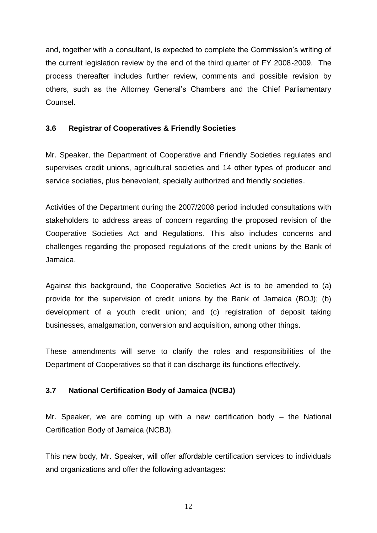and, together with a consultant, is expected to complete the Commission's writing of the current legislation review by the end of the third quarter of FY 2008-2009. The process thereafter includes further review, comments and possible revision by others, such as the Attorney General's Chambers and the Chief Parliamentary Counsel.

# **3.6 Registrar of Cooperatives & Friendly Societies**

Mr. Speaker, the Department of Cooperative and Friendly Societies regulates and supervises credit unions, agricultural societies and 14 other types of producer and service societies, plus benevolent, specially authorized and friendly societies.

Activities of the Department during the 2007/2008 period included consultations with stakeholders to address areas of concern regarding the proposed revision of the Cooperative Societies Act and Regulations. This also includes concerns and challenges regarding the proposed regulations of the credit unions by the Bank of Jamaica.

Against this background, the Cooperative Societies Act is to be amended to (a) provide for the supervision of credit unions by the Bank of Jamaica (BOJ); (b) development of a youth credit union; and (c) registration of deposit taking businesses, amalgamation, conversion and acquisition, among other things.

These amendments will serve to clarify the roles and responsibilities of the Department of Cooperatives so that it can discharge its functions effectively.

# **3.7 National Certification Body of Jamaica (NCBJ)**

Mr. Speaker, we are coming up with a new certification body – the National Certification Body of Jamaica (NCBJ).

This new body, Mr. Speaker, will offer affordable certification services to individuals and organizations and offer the following advantages: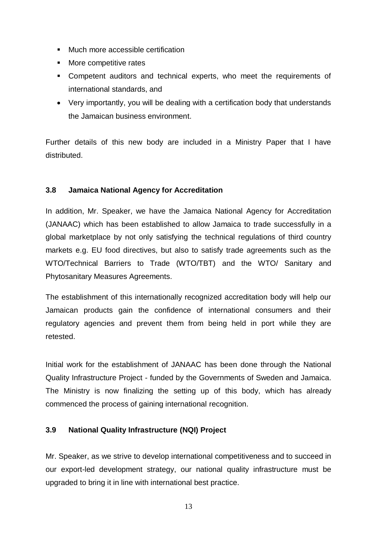- **Much more accessible certification**
- **Nore competitive rates**
- Competent auditors and technical experts, who meet the requirements of international standards, and
- Very importantly, you will be dealing with a certification body that understands the Jamaican business environment.

Further details of this new body are included in a Ministry Paper that I have distributed.

# **3.8 Jamaica National Agency for Accreditation**

In addition, Mr. Speaker, we have the Jamaica National Agency for Accreditation (JANAAC) which has been established to allow Jamaica to trade successfully in a global marketplace by not only satisfying the technical regulations of third country markets e.g. EU food directives, but also to satisfy trade agreements such as the WTO/Technical Barriers to Trade (WTO/TBT) and the WTO/ Sanitary and Phytosanitary Measures Agreements.

The establishment of this internationally recognized accreditation body will help our Jamaican products gain the confidence of international consumers and their regulatory agencies and prevent them from being held in port while they are retested.

Initial work for the establishment of JANAAC has been done through the National Quality Infrastructure Project - funded by the Governments of Sweden and Jamaica. The Ministry is now finalizing the setting up of this body, which has already commenced the process of gaining international recognition.

# **3.9 National Quality Infrastructure (NQI) Project**

Mr. Speaker, as we strive to develop international competitiveness and to succeed in our export-led development strategy, our national quality infrastructure must be upgraded to bring it in line with international best practice.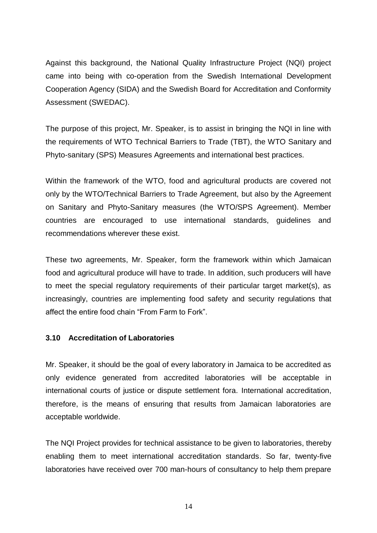Against this background, the National Quality Infrastructure Project (NQI) project came into being with co-operation from the Swedish International Development Cooperation Agency (SIDA) and the Swedish Board for Accreditation and Conformity Assessment (SWEDAC).

The purpose of this project, Mr. Speaker, is to assist in bringing the NQI in line with the requirements of WTO Technical Barriers to Trade (TBT), the WTO Sanitary and Phyto-sanitary (SPS) Measures Agreements and international best practices.

Within the framework of the WTO, food and agricultural products are covered not only by the WTO/Technical Barriers to Trade Agreement, but also by the Agreement on Sanitary and Phyto-Sanitary measures (the WTO/SPS Agreement). Member countries are encouraged to use international standards, guidelines and recommendations wherever these exist.

These two agreements, Mr. Speaker, form the framework within which Jamaican food and agricultural produce will have to trade. In addition, such producers will have to meet the special regulatory requirements of their particular target market(s), as increasingly, countries are implementing food safety and security regulations that affect the entire food chain "From Farm to Fork".

#### **3.10 Accreditation of Laboratories**

Mr. Speaker, it should be the goal of every laboratory in Jamaica to be accredited as only evidence generated from accredited laboratories will be acceptable in international courts of justice or dispute settlement fora. International accreditation, therefore, is the means of ensuring that results from Jamaican laboratories are acceptable worldwide.

The NQI Project provides for technical assistance to be given to laboratories, thereby enabling them to meet international accreditation standards. So far, twenty-five laboratories have received over 700 man-hours of consultancy to help them prepare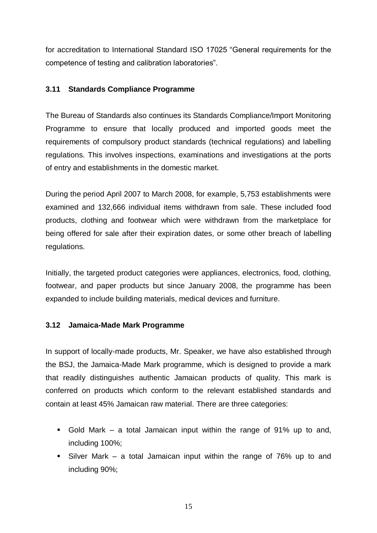for accreditation to International Standard ISO 17025 "General requirements for the competence of testing and calibration laboratories".

## **3.11 Standards Compliance Programme**

The Bureau of Standards also continues its Standards Compliance/Import Monitoring Programme to ensure that locally produced and imported goods meet the requirements of compulsory product standards (technical regulations) and labelling regulations. This involves inspections, examinations and investigations at the ports of entry and establishments in the domestic market.

During the period April 2007 to March 2008, for example, 5,753 establishments were examined and 132,666 individual items withdrawn from sale. These included food products, clothing and footwear which were withdrawn from the marketplace for being offered for sale after their expiration dates, or some other breach of labelling regulations.

Initially, the targeted product categories were appliances, electronics, food, clothing, footwear, and paper products but since January 2008, the programme has been expanded to include building materials, medical devices and furniture.

#### **3.12 Jamaica-Made Mark Programme**

In support of locally-made products, Mr. Speaker, we have also established through the BSJ, the Jamaica-Made Mark programme, which is designed to provide a mark that readily distinguishes authentic Jamaican products of quality. This mark is conferred on products which conform to the relevant established standards and contain at least 45% Jamaican raw material. There are three categories:

- Gold Mark a total Jamaican input within the range of 91% up to and, including 100%;
- Silver Mark a total Jamaican input within the range of 76% up to and including 90%;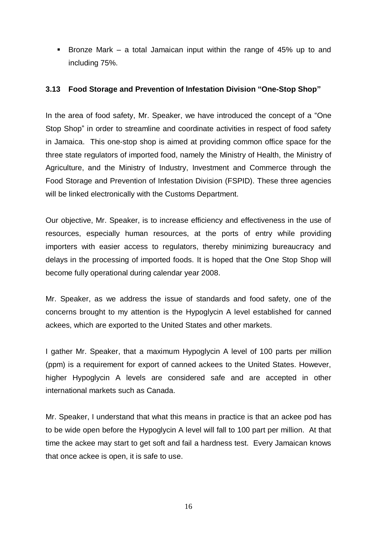**Bronze Mark – a total Jamaican input within the range of 45% up to and** including 75%.

#### **3.13 Food Storage and Prevention of Infestation Division "One-Stop Shop"**

In the area of food safety, Mr. Speaker, we have introduced the concept of a "One Stop Shop" in order to streamline and coordinate activities in respect of food safety in Jamaica. This one-stop shop is aimed at providing common office space for the three state regulators of imported food, namely the Ministry of Health, the Ministry of Agriculture, and the Ministry of Industry, Investment and Commerce through the Food Storage and Prevention of Infestation Division (FSPID). These three agencies will be linked electronically with the Customs Department.

Our objective, Mr. Speaker, is to increase efficiency and effectiveness in the use of resources, especially human resources, at the ports of entry while providing importers with easier access to regulators, thereby minimizing bureaucracy and delays in the processing of imported foods. It is hoped that the One Stop Shop will become fully operational during calendar year 2008.

Mr. Speaker, as we address the issue of standards and food safety, one of the concerns brought to my attention is the Hypoglycin A level established for canned ackees, which are exported to the United States and other markets.

I gather Mr. Speaker, that a maximum Hypoglycin A level of 100 parts per million (ppm) is a requirement for export of canned ackees to the United States. However, higher Hypoglycin A levels are considered safe and are accepted in other international markets such as Canada.

Mr. Speaker, I understand that what this means in practice is that an ackee pod has to be wide open before the Hypoglycin A level will fall to 100 part per million. At that time the ackee may start to get soft and fail a hardness test. Every Jamaican knows that once ackee is open, it is safe to use.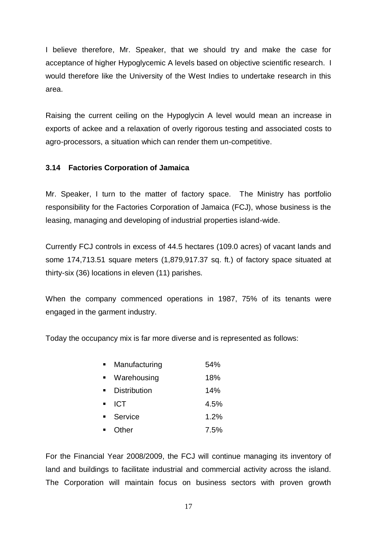I believe therefore, Mr. Speaker, that we should try and make the case for acceptance of higher Hypoglycemic A levels based on objective scientific research. I would therefore like the University of the West Indies to undertake research in this area.

Raising the current ceiling on the Hypoglycin A level would mean an increase in exports of ackee and a relaxation of overly rigorous testing and associated costs to agro-processors, a situation which can render them un-competitive.

# **3.14 Factories Corporation of Jamaica**

Mr. Speaker, I turn to the matter of factory space. The Ministry has portfolio responsibility for the Factories Corporation of Jamaica (FCJ), whose business is the leasing, managing and developing of industrial properties island-wide.

Currently FCJ controls in excess of 44.5 hectares (109.0 acres) of vacant lands and some 174,713.51 square meters (1,879,917.37 sq. ft.) of factory space situated at thirty-six (36) locations in eleven (11) parishes.

When the company commenced operations in 1987, 75% of its tenants were engaged in the garment industry.

Today the occupancy mix is far more diverse and is represented as follows:

| Manufacturing       | 54%  |
|---------------------|------|
| Warehousing         | 18%  |
| <b>Distribution</b> | 14%  |
| <b>ICT</b>          | 4.5% |
| Service             | 1.2% |
| Other               | 7.5% |

For the Financial Year 2008/2009, the FCJ will continue managing its inventory of land and buildings to facilitate industrial and commercial activity across the island. The Corporation will maintain focus on business sectors with proven growth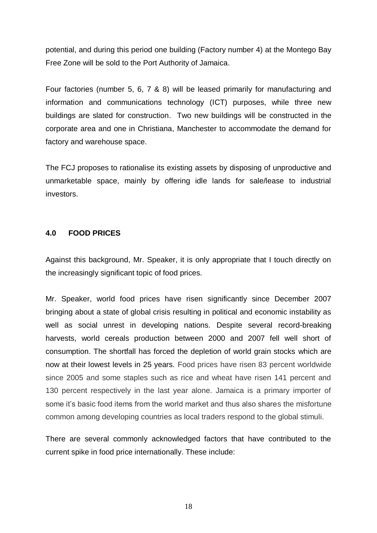potential, and during this period one building (Factory number 4) at the Montego Bay Free Zone will be sold to the Port Authority of Jamaica.

Four factories (number 5, 6, 7 & 8) will be leased primarily for manufacturing and information and communications technology (ICT) purposes, while three new buildings are slated for construction. Two new buildings will be constructed in the corporate area and one in Christiana, Manchester to accommodate the demand for factory and warehouse space.

The FCJ proposes to rationalise its existing assets by disposing of unproductive and unmarketable space, mainly by offering idle lands for sale/lease to industrial investors.

#### **4.0 FOOD PRICES**

Against this background, Mr. Speaker, it is only appropriate that I touch directly on the increasingly significant topic of food prices.

Mr. Speaker, world food prices have risen significantly since December 2007 bringing about a state of global crisis resulting in political and economic instability as well as social unrest in developing nations. Despite several record-breaking harvests, world cereals production between 2000 and 2007 fell well short of consumption. The shortfall has forced the depletion of world grain stocks which are now at their lowest levels in 25 years. Food prices have risen 83 percent worldwide since 2005 and some staples such as rice and wheat have risen 141 percent and 130 percent respectively in the last year alone. Jamaica is a primary importer of some it's basic food items from the world market and thus also shares the misfortune common among developing countries as local traders respond to the global stimuli.

There are several commonly acknowledged factors that have contributed to the current spike in food price internationally. These include: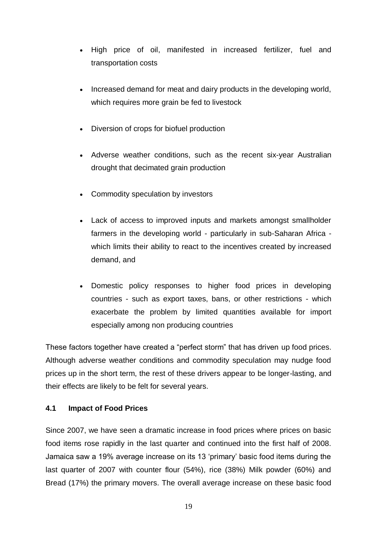- High price of oil, manifested in increased fertilizer, fuel and transportation costs
- Increased demand for meat and dairy products in the developing world, which requires more grain be fed to livestock
- Diversion of crops for biofuel production
- Adverse weather conditions, such as the recent six-year Australian drought that decimated grain production
- Commodity speculation by investors
- Lack of access to improved inputs and markets amongst smallholder farmers in the developing world - particularly in sub-Saharan Africa which limits their ability to react to the incentives created by increased demand, and
- Domestic policy responses to higher food prices in developing countries - such as export taxes, bans, or other restrictions - which exacerbate the problem by limited quantities available for import especially among non producing countries

These factors together have created a "perfect storm" that has driven up food prices. Although adverse weather conditions and commodity speculation may nudge food prices up in the short term, the rest of these drivers appear to be longer-lasting, and their effects are likely to be felt for several years.

# **4.1 Impact of Food Prices**

Since 2007, we have seen a dramatic increase in food prices where prices on basic food items rose rapidly in the last quarter and continued into the first half of 2008. Jamaica saw a 19% average increase on its 13 'primary' basic food items during the last quarter of 2007 with counter flour (54%), rice (38%) Milk powder (60%) and Bread (17%) the primary movers. The overall average increase on these basic food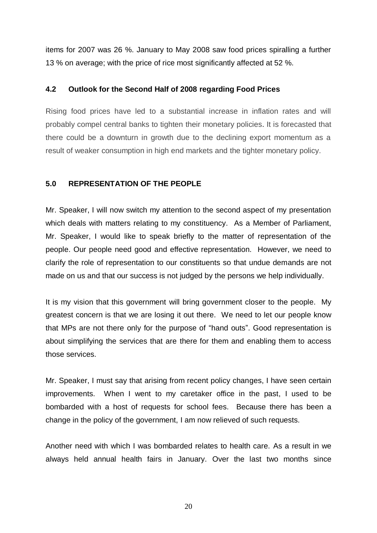items for 2007 was 26 %. January to May 2008 saw food prices spiralling a further 13 % on average; with the price of rice most significantly affected at 52 %.

#### **4.2 Outlook for the Second Half of 2008 regarding Food Prices**

Rising food prices have led to a substantial increase in inflation rates and will probably compel central banks to tighten their monetary policies. It is forecasted that there could be a downturn in growth due to the declining export momentum as a result of weaker consumption in high end markets and the tighter monetary policy.

# **5.0 REPRESENTATION OF THE PEOPLE**

Mr. Speaker, I will now switch my attention to the second aspect of my presentation which deals with matters relating to my constituency. As a Member of Parliament, Mr. Speaker, I would like to speak briefly to the matter of representation of the people. Our people need good and effective representation. However, we need to clarify the role of representation to our constituents so that undue demands are not made on us and that our success is not judged by the persons we help individually.

It is my vision that this government will bring government closer to the people. My greatest concern is that we are losing it out there. We need to let our people know that MPs are not there only for the purpose of "hand outs". Good representation is about simplifying the services that are there for them and enabling them to access those services.

Mr. Speaker, I must say that arising from recent policy changes, I have seen certain improvements. When I went to my caretaker office in the past, I used to be bombarded with a host of requests for school fees. Because there has been a change in the policy of the government, I am now relieved of such requests.

Another need with which I was bombarded relates to health care. As a result in we always held annual health fairs in January. Over the last two months since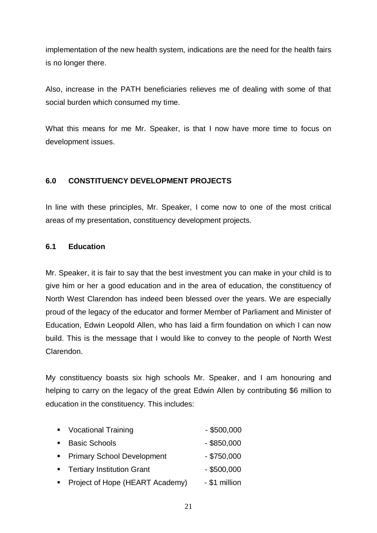implementation of the new health system, indications are the need for the health fairs is no longer there.

Also, increase in the PATH beneficiaries relieves me of dealing with some of that social burden which consumed my time.

What this means for me Mr. Speaker, is that I now have more time to focus on development issues.

# **6.0 CONSTITUENCY DEVELOPMENT PROJECTS**

In line with these principles, Mr. Speaker, I come now to one of the most critical areas of my presentation, constituency development projects.

# **6.1 Education**

Mr. Speaker, it is fair to say that the best investment you can make in your child is to give him or her a good education and in the area of education, the constituency of North West Clarendon has indeed been blessed over the years. We are especially proud of the legacy of the educator and former Member of Parliament and Minister of Education, Edwin Leopold Allen, who has laid a firm foundation on which I can now build. This is the message that I would like to convey to the people of North West Clarendon.

My constituency boasts six high schools Mr. Speaker, and I am honouring and helping to carry on the legacy of the great Edwin Allen by contributing \$6 million to education in the constituency. This includes:

| • Vocational Training        | $-$ \$500,000 |
|------------------------------|---------------|
| ■ Basic Schools              | $-$ \$850,000 |
| • Primary School Development | $-$ \$750,000 |
| • Tertiary Institution Grant | $-$ \$500,000 |
|                              |               |

**Project of Hope (HEART Academy)** - \$1 million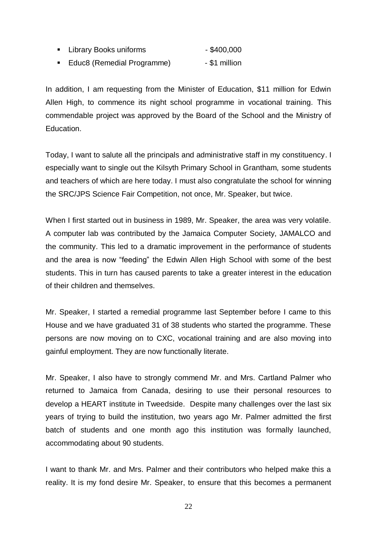- Library Books uniforms \$400,000
- Educ8 (Remedial Programme) \$1 million

In addition, I am requesting from the Minister of Education, \$11 million for Edwin Allen High, to commence its night school programme in vocational training. This commendable project was approved by the Board of the School and the Ministry of Education.

Today, I want to salute all the principals and administrative staff in my constituency. I especially want to single out the Kilsyth Primary School in Grantham, some students and teachers of which are here today. I must also congratulate the school for winning the SRC/JPS Science Fair Competition, not once, Mr. Speaker, but twice.

When I first started out in business in 1989, Mr. Speaker, the area was very volatile. A computer lab was contributed by the Jamaica Computer Society, JAMALCO and the community. This led to a dramatic improvement in the performance of students and the area is now "feeding" the Edwin Allen High School with some of the best students. This in turn has caused parents to take a greater interest in the education of their children and themselves.

Mr. Speaker, I started a remedial programme last September before I came to this House and we have graduated 31 of 38 students who started the programme. These persons are now moving on to CXC, vocational training and are also moving into gainful employment. They are now functionally literate.

Mr. Speaker, I also have to strongly commend Mr. and Mrs. Cartland Palmer who returned to Jamaica from Canada, desiring to use their personal resources to develop a HEART institute in Tweedside. Despite many challenges over the last six years of trying to build the institution, two years ago Mr. Palmer admitted the first batch of students and one month ago this institution was formally launched, accommodating about 90 students.

I want to thank Mr. and Mrs. Palmer and their contributors who helped make this a reality. It is my fond desire Mr. Speaker, to ensure that this becomes a permanent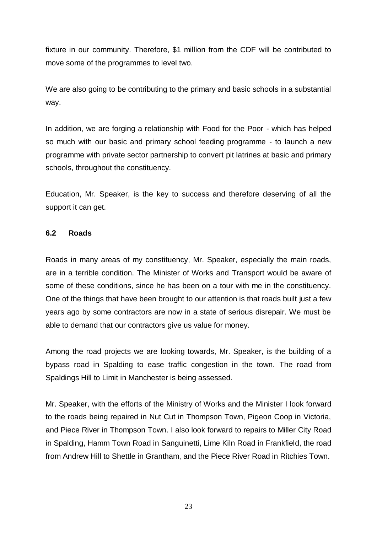fixture in our community. Therefore, \$1 million from the CDF will be contributed to move some of the programmes to level two.

We are also going to be contributing to the primary and basic schools in a substantial way.

In addition, we are forging a relationship with Food for the Poor - which has helped so much with our basic and primary school feeding programme - to launch a new programme with private sector partnership to convert pit latrines at basic and primary schools, throughout the constituency.

Education, Mr. Speaker, is the key to success and therefore deserving of all the support it can get.

#### **6.2 Roads**

Roads in many areas of my constituency, Mr. Speaker, especially the main roads, are in a terrible condition. The Minister of Works and Transport would be aware of some of these conditions, since he has been on a tour with me in the constituency. One of the things that have been brought to our attention is that roads built just a few years ago by some contractors are now in a state of serious disrepair. We must be able to demand that our contractors give us value for money.

Among the road projects we are looking towards, Mr. Speaker, is the building of a bypass road in Spalding to ease traffic congestion in the town. The road from Spaldings Hill to Limit in Manchester is being assessed.

Mr. Speaker, with the efforts of the Ministry of Works and the Minister I look forward to the roads being repaired in Nut Cut in Thompson Town, Pigeon Coop in Victoria, and Piece River in Thompson Town. I also look forward to repairs to Miller City Road in Spalding, Hamm Town Road in Sanguinetti, Lime Kiln Road in Frankfield, the road from Andrew Hill to Shettle in Grantham, and the Piece River Road in Ritchies Town.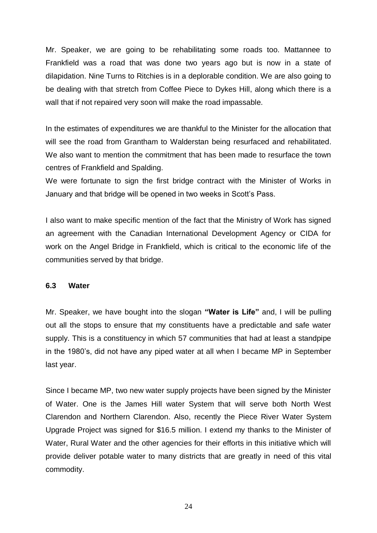Mr. Speaker, we are going to be rehabilitating some roads too. Mattannee to Frankfield was a road that was done two years ago but is now in a state of dilapidation. Nine Turns to Ritchies is in a deplorable condition. We are also going to be dealing with that stretch from Coffee Piece to Dykes Hill, along which there is a wall that if not repaired very soon will make the road impassable.

In the estimates of expenditures we are thankful to the Minister for the allocation that will see the road from Grantham to Walderstan being resurfaced and rehabilitated. We also want to mention the commitment that has been made to resurface the town centres of Frankfield and Spalding.

We were fortunate to sign the first bridge contract with the Minister of Works in January and that bridge will be opened in two weeks in Scott's Pass.

I also want to make specific mention of the fact that the Ministry of Work has signed an agreement with the Canadian International Development Agency or CIDA for work on the Angel Bridge in Frankfield, which is critical to the economic life of the communities served by that bridge.

#### **6.3 Water**

Mr. Speaker, we have bought into the slogan **"Water is Life"** and, I will be pulling out all the stops to ensure that my constituents have a predictable and safe water supply. This is a constituency in which 57 communities that had at least a standpipe in the 1980's, did not have any piped water at all when I became MP in September last year.

Since I became MP, two new water supply projects have been signed by the Minister of Water. One is the James Hill water System that will serve both North West Clarendon and Northern Clarendon. Also, recently the Piece River Water System Upgrade Project was signed for \$16.5 million. I extend my thanks to the Minister of Water, Rural Water and the other agencies for their efforts in this initiative which will provide deliver potable water to many districts that are greatly in need of this vital commodity.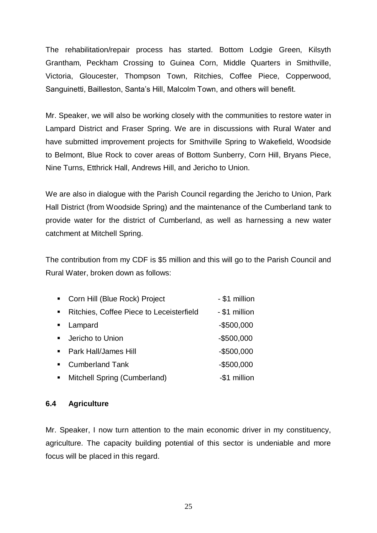The rehabilitation/repair process has started. Bottom Lodgie Green, Kilsyth Grantham, Peckham Crossing to Guinea Corn, Middle Quarters in Smithville, Victoria, Gloucester, Thompson Town, Ritchies, Coffee Piece, Copperwood, Sanguinetti, Bailleston, Santa's Hill, Malcolm Town, and others will benefit.

Mr. Speaker, we will also be working closely with the communities to restore water in Lampard District and Fraser Spring. We are in discussions with Rural Water and have submitted improvement projects for Smithville Spring to Wakefield, Woodside to Belmont, Blue Rock to cover areas of Bottom Sunberry, Corn Hill, Bryans Piece, Nine Turns, Etthrick Hall, Andrews Hill, and Jericho to Union.

We are also in dialogue with the Parish Council regarding the Jericho to Union, Park Hall District (from Woodside Spring) and the maintenance of the Cumberland tank to provide water for the district of Cumberland, as well as harnessing a new water catchment at Mitchell Spring.

The contribution from my CDF is \$5 million and this will go to the Parish Council and Rural Water, broken down as follows:

| $\mathbf{R}^{\text{max}}$ | Corn Hill (Blue Rock) Project            | - \$1 million |
|---------------------------|------------------------------------------|---------------|
| $\blacksquare$            | Ritchies, Coffee Piece to Leceisterfield | - \$1 million |
| $\blacksquare$            | Lampard                                  | $-$500,000$   |
|                           | • Jericho to Union                       | $-$500,000$   |
|                           | • Park Hall/James Hill                   | $-$500,000$   |
| $\blacksquare$            | <b>Cumberland Tank</b>                   | $-$500,000$   |
| $\blacksquare$            | Mitchell Spring (Cumberland)             | -\$1 million  |

#### **6.4 Agriculture**

Mr. Speaker, I now turn attention to the main economic driver in my constituency, agriculture. The capacity building potential of this sector is undeniable and more focus will be placed in this regard.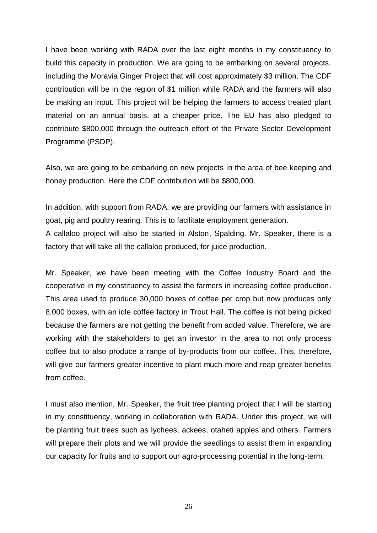I have been working with RADA over the last eight months in my constituency to build this capacity in production. We are going to be embarking on several projects, including the Moravia Ginger Project that will cost approximately \$3 million. The CDF contribution will be in the region of \$1 million while RADA and the farmers will also be making an input. This project will be helping the farmers to access treated plant material on an annual basis, at a cheaper price. The EU has also pledged to contribute \$800,000 through the outreach effort of the Private Sector Development Programme (PSDP).

Also, we are going to be embarking on new projects in the area of bee keeping and honey production. Here the CDF contribution will be \$800,000.

In addition, with support from RADA, we are providing our farmers with assistance in goat, pig and poultry rearing. This is to facilitate employment generation. A callaloo project will also be started in Alston, Spalding. Mr. Speaker, there is a factory that will take all the callaloo produced, for juice production.

Mr. Speaker, we have been meeting with the Coffee Industry Board and the cooperative in my constituency to assist the farmers in increasing coffee production. This area used to produce 30,000 boxes of coffee per crop but now produces only 8,000 boxes, with an idle coffee factory in Trout Hall. The coffee is not being picked because the farmers are not getting the benefit from added value. Therefore, we are working with the stakeholders to get an investor in the area to not only process coffee but to also produce a range of by-products from our coffee. This, therefore, will give our farmers greater incentive to plant much more and reap greater benefits from coffee.

I must also mention, Mr. Speaker, the fruit tree planting project that I will be starting in my constituency, working in collaboration with RADA. Under this project, we will be planting fruit trees such as lychees, ackees, otaheti apples and others. Farmers will prepare their plots and we will provide the seedlings to assist them in expanding our capacity for fruits and to support our agro-processing potential in the long-term.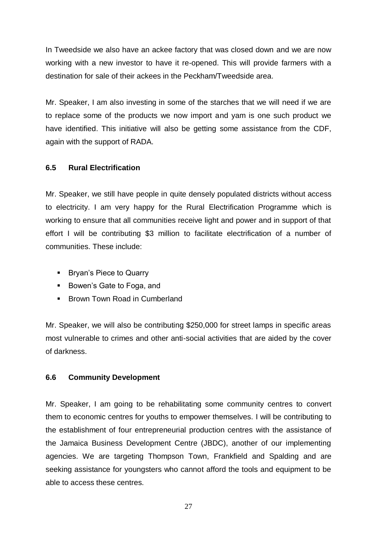In Tweedside we also have an ackee factory that was closed down and we are now working with a new investor to have it re-opened. This will provide farmers with a destination for sale of their ackees in the Peckham/Tweedside area.

Mr. Speaker, I am also investing in some of the starches that we will need if we are to replace some of the products we now import and yam is one such product we have identified. This initiative will also be getting some assistance from the CDF, again with the support of RADA.

# **6.5 Rural Electrification**

Mr. Speaker, we still have people in quite densely populated districts without access to electricity. I am very happy for the Rural Electrification Programme which is working to ensure that all communities receive light and power and in support of that effort I will be contributing \$3 million to facilitate electrification of a number of communities. These include:

- **Bryan's Piece to Quarry**
- Bowen's Gate to Foga, and
- **Brown Town Road in Cumberland**

Mr. Speaker, we will also be contributing \$250,000 for street lamps in specific areas most vulnerable to crimes and other anti-social activities that are aided by the cover of darkness.

# **6.6 Community Development**

Mr. Speaker, I am going to be rehabilitating some community centres to convert them to economic centres for youths to empower themselves. I will be contributing to the establishment of four entrepreneurial production centres with the assistance of the Jamaica Business Development Centre (JBDC), another of our implementing agencies. We are targeting Thompson Town, Frankfield and Spalding and are seeking assistance for youngsters who cannot afford the tools and equipment to be able to access these centres.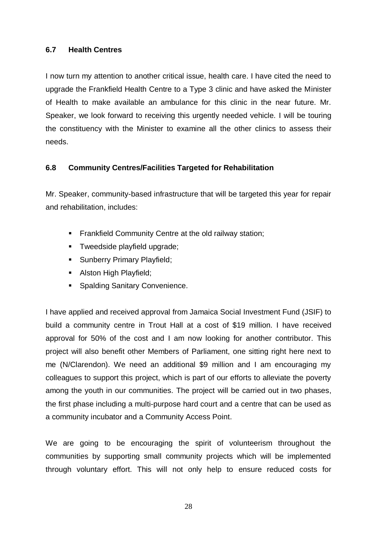#### **6.7 Health Centres**

I now turn my attention to another critical issue, health care. I have cited the need to upgrade the Frankfield Health Centre to a Type 3 clinic and have asked the Minister of Health to make available an ambulance for this clinic in the near future. Mr. Speaker, we look forward to receiving this urgently needed vehicle. I will be touring the constituency with the Minister to examine all the other clinics to assess their needs.

# **6.8 Community Centres/Facilities Targeted for Rehabilitation**

Mr. Speaker, community-based infrastructure that will be targeted this year for repair and rehabilitation, includes:

- **Frankfield Community Centre at the old railway station;**
- **Tweedside playfield upgrade;**
- **Sunberry Primary Playfield;**
- Alston High Playfield;
- Spalding Sanitary Convenience.

I have applied and received approval from Jamaica Social Investment Fund (JSIF) to build a community centre in Trout Hall at a cost of \$19 million. I have received approval for 50% of the cost and I am now looking for another contributor. This project will also benefit other Members of Parliament, one sitting right here next to me (N/Clarendon). We need an additional \$9 million and I am encouraging my colleagues to support this project, which is part of our efforts to alleviate the poverty among the youth in our communities. The project will be carried out in two phases, the first phase including a multi-purpose hard court and a centre that can be used as a community incubator and a Community Access Point.

We are going to be encouraging the spirit of volunteerism throughout the communities by supporting small community projects which will be implemented through voluntary effort. This will not only help to ensure reduced costs for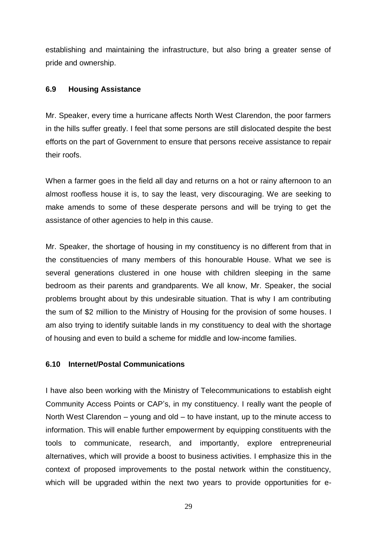establishing and maintaining the infrastructure, but also bring a greater sense of pride and ownership.

#### **6.9 Housing Assistance**

Mr. Speaker, every time a hurricane affects North West Clarendon, the poor farmers in the hills suffer greatly. I feel that some persons are still dislocated despite the best efforts on the part of Government to ensure that persons receive assistance to repair their roofs.

When a farmer goes in the field all day and returns on a hot or rainy afternoon to an almost roofless house it is, to say the least, very discouraging. We are seeking to make amends to some of these desperate persons and will be trying to get the assistance of other agencies to help in this cause.

Mr. Speaker, the shortage of housing in my constituency is no different from that in the constituencies of many members of this honourable House. What we see is several generations clustered in one house with children sleeping in the same bedroom as their parents and grandparents. We all know, Mr. Speaker, the social problems brought about by this undesirable situation. That is why I am contributing the sum of \$2 million to the Ministry of Housing for the provision of some houses. I am also trying to identify suitable lands in my constituency to deal with the shortage of housing and even to build a scheme for middle and low-income families.

#### **6.10 Internet/Postal Communications**

I have also been working with the Ministry of Telecommunications to establish eight Community Access Points or CAP's, in my constituency. I really want the people of North West Clarendon – young and old – to have instant, up to the minute access to information. This will enable further empowerment by equipping constituents with the tools to communicate, research, and importantly, explore entrepreneurial alternatives, which will provide a boost to business activities. I emphasize this in the context of proposed improvements to the postal network within the constituency, which will be upgraded within the next two years to provide opportunities for e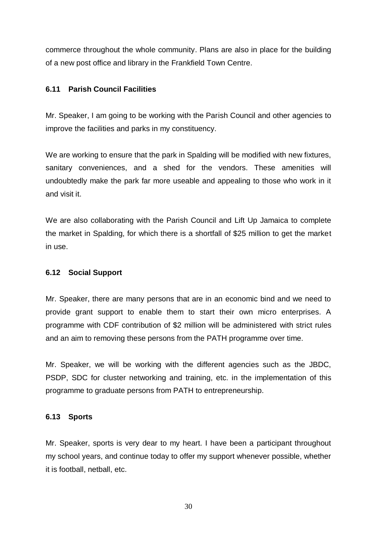commerce throughout the whole community. Plans are also in place for the building of a new post office and library in the Frankfield Town Centre.

#### **6.11 Parish Council Facilities**

Mr. Speaker, I am going to be working with the Parish Council and other agencies to improve the facilities and parks in my constituency.

We are working to ensure that the park in Spalding will be modified with new fixtures, sanitary conveniences, and a shed for the vendors. These amenities will undoubtedly make the park far more useable and appealing to those who work in it and visit it.

We are also collaborating with the Parish Council and Lift Up Jamaica to complete the market in Spalding, for which there is a shortfall of \$25 million to get the market in use.

# **6.12 Social Support**

Mr. Speaker, there are many persons that are in an economic bind and we need to provide grant support to enable them to start their own micro enterprises. A programme with CDF contribution of \$2 million will be administered with strict rules and an aim to removing these persons from the PATH programme over time.

Mr. Speaker, we will be working with the different agencies such as the JBDC, PSDP, SDC for cluster networking and training, etc. in the implementation of this programme to graduate persons from PATH to entrepreneurship.

#### **6.13 Sports**

Mr. Speaker, sports is very dear to my heart. I have been a participant throughout my school years, and continue today to offer my support whenever possible, whether it is football, netball, etc.